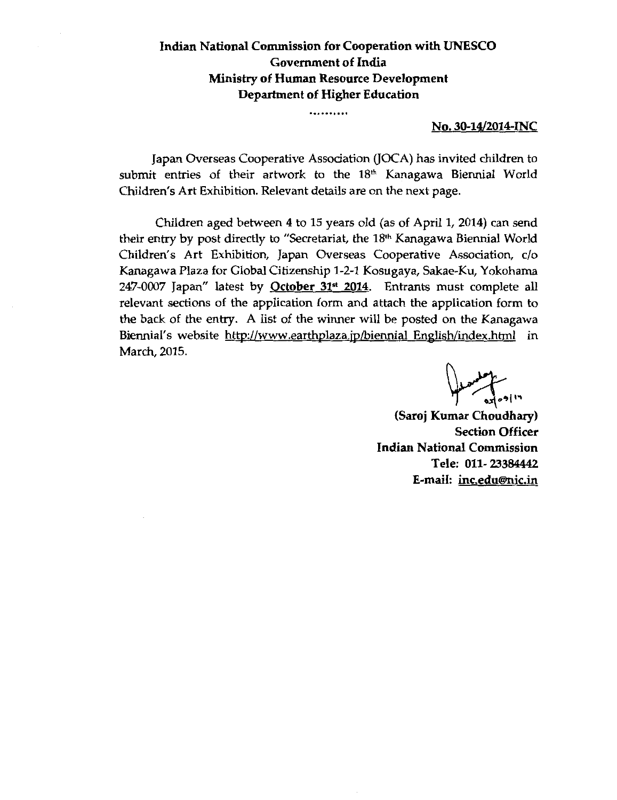#### **Indian National Commission for Cooperation with UNESCO Government of India Ministry of Human Resource Development Department of Higher Education**

..........

#### **No. 30-14/2014-INC**

Japan Overseas Cooperative Association (JOCA) has invited children to submit entries of their artwork to the 18<sup>th</sup> Kanagawa Biennial World Children's Art Exhibition. Relevant details are on the next page.

Children aged between 4 to 15 years old (as of April **1,** 2014) can send their entry by post directly to "Secretariat, the 18<sup>th</sup> Kanagawa Biennial World Children's Art Exhibition, Japan Overseas Cooperative Association, c/o Kanagawa Plaza for Global Citizenship 1-2-1 Kosugaya, Sakae-Ku, Yokohama 247-0007 Japan" latest by **October 31" 2014.** Entrants must complete all relevant sections of the application form and attach the application form to the back of the entry. A list of the winner will be posted on the Kanagawa Biennial's website http://www.earthplaza.jp/biennial English/index.html in March, 2015.

**(Saroj Kumar**  ~~·~ **Chaudhary) Section Officer Indian National Commission Tele: 011- 23384442 E-mail: inc.edu®nic.in**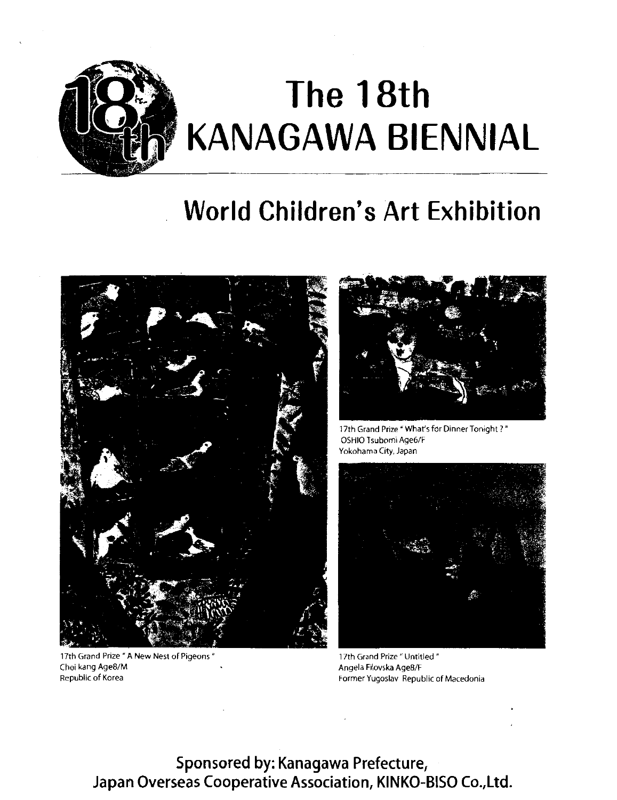

# **World Children's Art Exhibition**



17th Grand Prize " A New Nest of Pigeons" Choi kang Age8/M Republic of Korea Former Yugoslav Republic of Macedonia



17th Grand Prize " What's for Dinner Tonight ? " OSHIO Tsubomi Age6/F Yokohama City, Japan



17th Grand Prize" Untitled " Angela Filovska Age8/F

Sponsored by: Kanagawa Prefecture, Japan Overseas Cooperative Association, KINKO-BISO Co.,Ltd.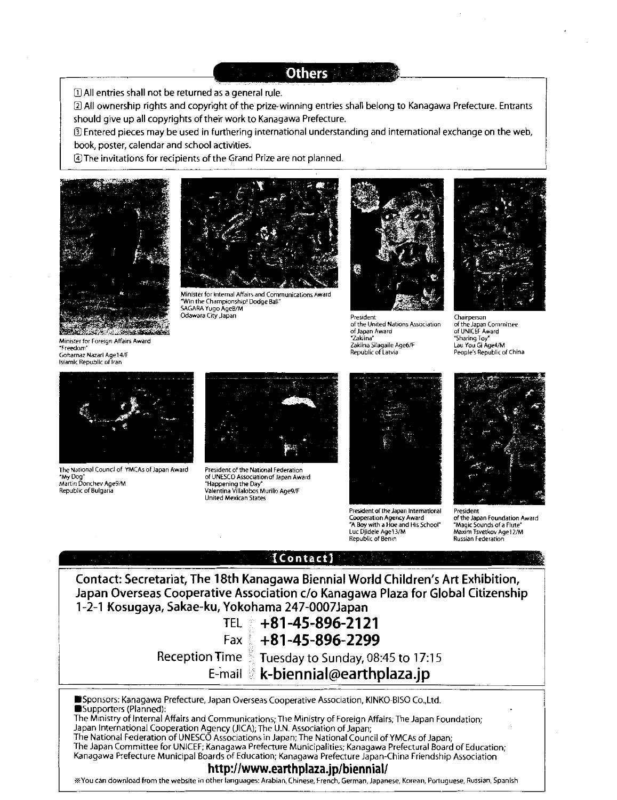**Others** 

[D All entries shall not be returned as a general rule.

[2] All ownership rights and copyright of the prize-winning entries shall belong to Kanagawa Prefecture. Entrants should give up all copyrights of their work to Kanagawa Prefecture.

Ill Entered pieces may be used in furthering international understanding and international exchange on the web, book, poster, calendar and school activities.

GJ The invitations for recipients of the Grand Prize are not planned.



Minister for Foreign Affairs Award "Freedom"





Minister for Internal Affairs and Communications Award "Win the Championship! Dodge Ball" SAGARA Yugo Age8/M Odawara City ,Japan



President of the United Nations Association of Japan Award "Zilklina" Zaklina Silagaile Age6/F Republic of Latvia



Chairperson of the Japan Committee of UNICEF Award "Sharing Toy" Lau You Gi Age4/M People's Republic of China



The National Council of Y'MCAs of Japan Award "My Dog" Martin Donchev Age9/M "Happening the Day" Republic of Bulgaria valencia valentina Villalobos Murillo Age9/F



President of the National Federation of UNESCO Association of Japan Award<br>"Happening the Day" United Mexican States



President of the Japan International Cooperation Agency Award "A Boy with a Hoe and His School" Luc Djidele Age13/M Republic of Bemn



President of the Japan Foundation Award "Magic Sounds of a Flute" Maxim Tsvetkov Age12/M Russian Federation



http://www.earthplaza.jp/biennial! \*You can download from the website in other languages: Arabian, Chinese, French, German, Japanese, Korean, Portuguese, Russian, Spanish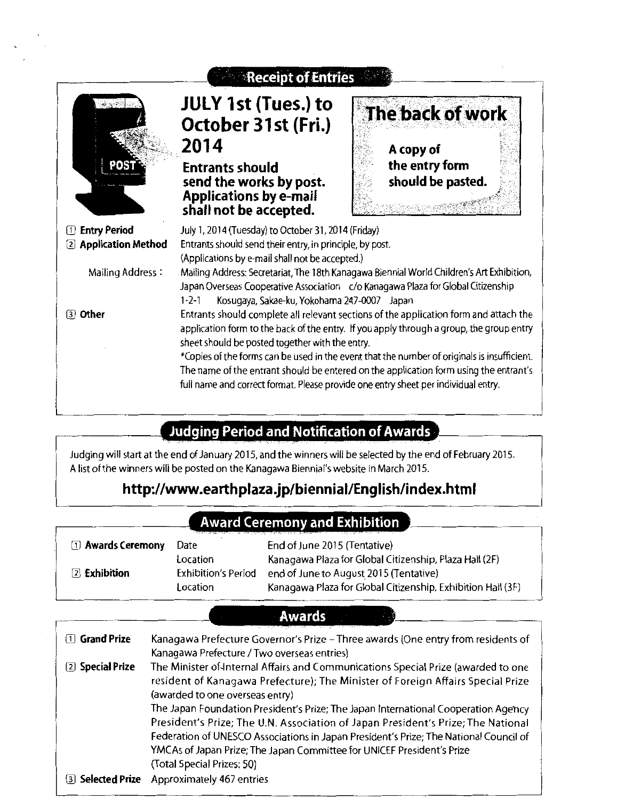

## **Judging Period and Notification of Awards**

Judging will start at the end of January 2015, and the winners will be selected by the end of February 2015. A list of the winners will be posted on the Kanagawa Biennial's website in March 2015.

# **http://www.earthplaza.jp/bienniai!English/index.html**

## **Award Ceremony and Exhibition**

| <b>1</b> Awards Ceremony | Date                                        | End of June 2015 (Tentative)                                                                                                                                    |
|--------------------------|---------------------------------------------|-----------------------------------------------------------------------------------------------------------------------------------------------------------------|
| 2 Exhibition             | Location<br>Exhibition's Period<br>Location | Kanagawa Plaza for Global Citizenship, Plaza Hall (2F)<br>end of June to August 2015 (Tentative)<br>Kanagawa Plaza for Global Citizenship, Exhibition Hall (3F) |

### **Awards** '

| 1 Grand Prize    | Kanagawa Prefecture Governor's Prize - Three awards (One entry from residents of<br>Kanagawa Prefecture / Two overseas entries)                                                                                                                                                                                                                                                                                                                                                                                                                                                    |
|------------------|------------------------------------------------------------------------------------------------------------------------------------------------------------------------------------------------------------------------------------------------------------------------------------------------------------------------------------------------------------------------------------------------------------------------------------------------------------------------------------------------------------------------------------------------------------------------------------|
| 2 Special Prize  | The Minister of Internal Affairs and Communications Special Prize (awarded to one<br>resident of Kanagawa Prefecture); The Minister of Foreign Affairs Special Prize<br>(awarded to one overseas entry)<br>The Japan Foundation President's Prize; The Japan International Cooperation Agency<br>President's Prize; The U.N. Association of Japan President's Prize; The National<br>Federation of UNESCO Associations in Japan President's Prize; The National Council of<br>YMCAs of Japan Prize; The Japan Committee for UNICEF President's Prize<br>(Total Special Prizes: 50) |
| 3 Selected Prize | Approximately 467 entries                                                                                                                                                                                                                                                                                                                                                                                                                                                                                                                                                          |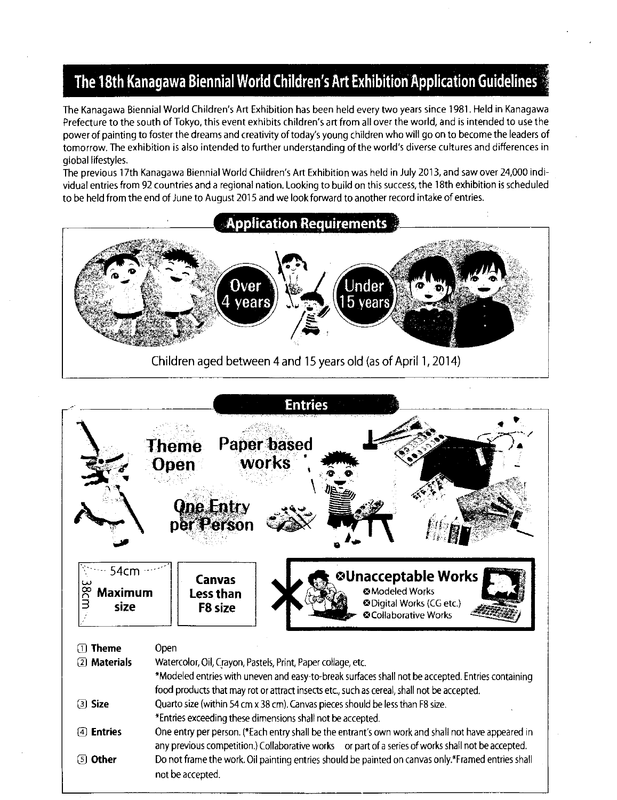# **The 18th Kanagawa Biennial World Children's Art Exhibition Application Guidelines** :,

The Kanagawa Biennial World Children's Art Exhibition has been held every two years since 1981. Held in Kanagawa Prefecture to the south of Tokyo, this event exhibits children's art from all over the world, and is intended to use the power of painting to foster the dreams and creativity of today's young children who will go on to become the leaders of tomorrow. The exhibition is also intended to further understanding of the world's diverse cultures and differences in global lifestyles.

The previous 17th Kanagawa Biennial World Children's Art Exhibition was held in July 2013, and saw over 24,000 individual entries from 92 countries and a regional nation. Looking to build on this success, the 18th exhibition is scheduled to be held from the end of June to August 2015 and we look forward to another record intake of entries.